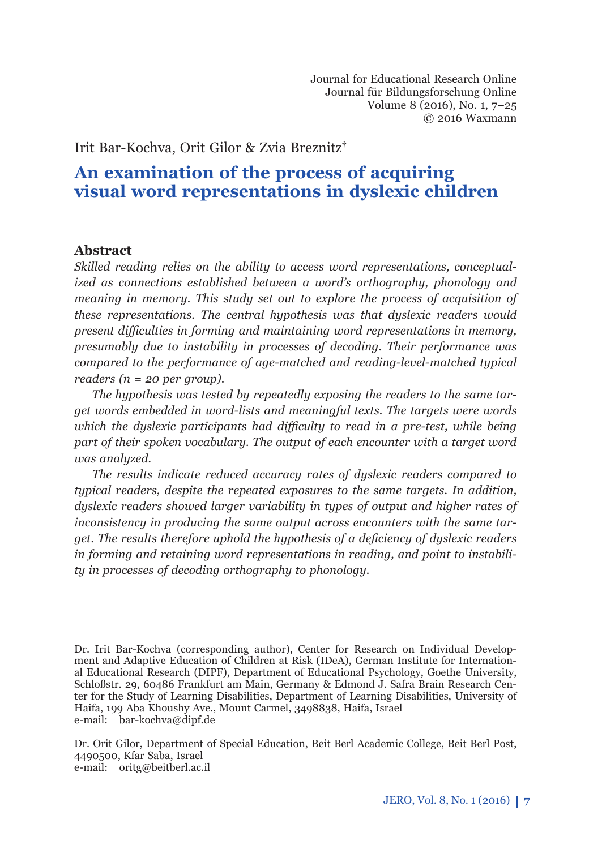Journal for Educational Research Online Journal für Bildungsforschung Online Volume 8 (2016), No. 1, 7–25 © 2016 Waxmann

Irit Bar-Kochva, Orit Gilor & Zvia Breznitz†

# **An examination of the process of acquiring visual word representations in dyslexic children**

## **Abstract**

*Skilled reading relies on the ability to access word representations, conceptualized as connections established between a word's orthography, phonology and meaning in memory. This study set out to explore the process of acquisition of these representations. The central hypothesis was that dyslexic readers would present diffi culties in forming and maintaining word representations in memory, presumably due to instability in processes of decoding. Their performance was compared to the performance of age-matched and reading-level-matched typical readers (n = 20 per group).*

*The hypothesis was tested by repeatedly exposing the readers to the same target words embedded in word-lists and meaningful texts. The targets were words which the dyslexic participants had diffi culty to read in a pre-test, while being part of their spoken vocabulary. The output of each encounter with a target word was analyzed. <sup>1</sup>*

*The results indicate reduced accuracy rates of dyslexic readers compared to typical readers, despite the repeated exposures to the same targets. In addition, dyslexic readers showed larger variability in types of output and higher rates of inconsistency in producing the same output across encounters with the same target. The results therefore uphold the hypothesis of a deficiency of dyslexic readers in forming and retaining word representations in reading, and point to instability in processes of decoding orthography to phonology.* 

Dr. Irit Bar-Kochva (corresponding author), Center for Research on Individual Development and Adaptive Education of Children at Risk (IDeA), German Institute for International Educational Research (DIPF), Department of Educational Psychology, Goethe University, Schloßstr. 29, 60486 Frankfurt am Main, Germany & Edmond J. Safra Brain Research Center for the Study of Learning Disabilities, Department of Learning Disabilities, University of Haifa, 199 Aba Khoushy Ave., Mount Carmel, 3498838, Haifa, Israel e-mail: bar-kochva@dipf.de

Dr. Orit Gilor, Department of Special Education, Beit Berl Academic College, Beit Berl Post, 4490500, Kfar Saba, Israel e-mail: oritg@beitberl.ac.il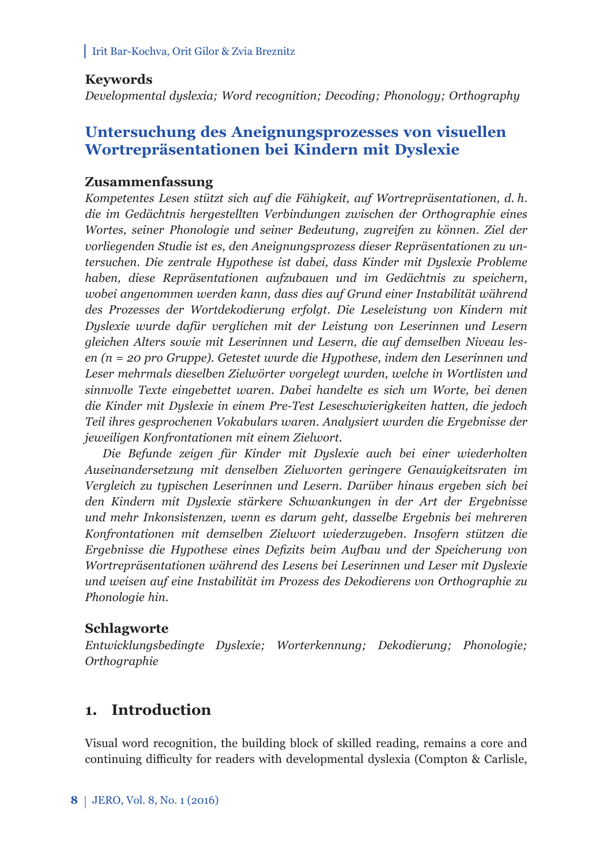## **Keywords**

*Developmental dyslexia; Word recognition; Decoding; Phonology; Orthography*

# **Untersuchung des Aneignungsprozesses von visuellen Wortrepräsentationen bei Kindern mit Dyslexie**

### **Zusammenfassung**

*Kompetentes Lesen stützt sich auf die Fähigkeit, auf Wortrepräsentationen, d. h. die im Gedächtnis hergestellten Verbindungen zwischen der Orthographie eines Wortes, seiner Phonologie und seiner Bedeutung, zugreifen zu können. Ziel der vorliegenden Studie ist es, den Aneignungsprozess dieser Repräsentationen zu untersuchen. Die zentrale Hypothese ist dabei, dass Kinder mit Dyslexie Probleme haben, diese Repräsentationen aufzubauen und im Gedächtnis zu speichern, wobei angenommen werden kann, dass dies auf Grund einer Instabilität während des Prozesses der Wortdekodierung erfolgt. Die Leseleistung von Kindern mit Dyslexie wurde dafür verglichen mit der Leistung von Leserinnen und Lesern gleichen Alters sowie mit Leserinnen und Lesern, die auf demselben Niveau lesen (n = 20 pro Gruppe). Getestet wurde die Hypothese, indem den Leserinnen und Leser mehrmals dieselben Zielwörter vorgelegt wurden, welche in Wortlisten und sinnvolle Texte eingebettet waren. Dabei handelte es sich um Worte, bei denen die Kinder mit Dyslexie in einem Pre-Test Leseschwierigkeiten hatten, die jedoch Teil ihres gesprochenen Vokabulars waren. Analysiert wurden die Ergebnisse der jeweiligen Konfrontationen mit einem Zielwort.*

*Die Befunde zeigen für Kinder mit Dyslexie auch bei einer wiederholten Auseinandersetzung mit denselben Zielworten geringere Genauigkeitsraten im Vergleich zu typischen Leserinnen und Lesern. Darüber hinaus ergeben sich bei den Kindern mit Dyslexie stärkere Schwankungen in der Art der Ergebnisse und mehr Inkonsistenzen, wenn es darum geht, dasselbe Ergebnis bei mehreren Konfrontationen mit demselben Zielwort wiederzugeben. Insofern stützen die Ergebnisse die Hypothese eines Defi zits beim Aufbau und der Speicherung von Wortrepräsentationen während des Lesens bei Leserinnen und Leser mit Dyslexie und weisen auf eine Instabilität im Prozess des Dekodierens von Orthographie zu Phonologie hin.*

### **Schlagworte**

*Entwicklungsbedingte Dyslexie; Worterkennung; Dekodierung; Phonologie; Orthographie*

# **1. Introduction**

Visual word recognition, the building block of skilled reading, remains a core and continuing difficulty for readers with developmental dyslexia (Compton & Carlisle,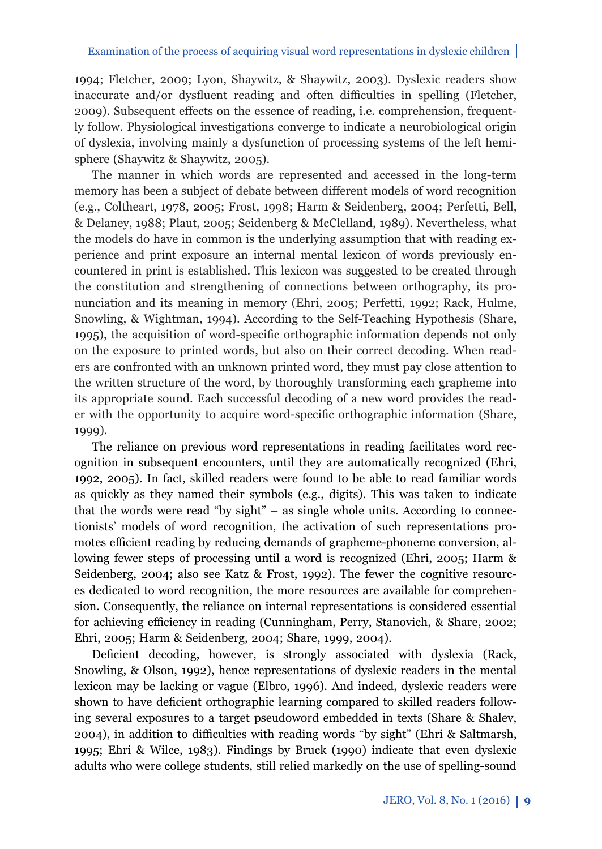1994; Fletcher, 2009; Lyon, Shaywitz, & Shaywitz, 2003). Dyslexic readers show inaccurate and/or dysfluent reading and often difficulties in spelling (Fletcher, 2009). Subsequent effects on the essence of reading, i.e. comprehension, frequently follow. Physiological investigations converge to indicate a neurobiological origin of dyslexia, involving mainly a dysfunction of processing systems of the left hemisphere (Shaywitz & Shaywitz, 2005).

The manner in which words are represented and accessed in the long-term memory has been a subject of debate between different models of word recognition (e.g., Coltheart, 1978, 2005; Frost, 1998; Harm & Seidenberg, 2004; Perfetti, Bell, & Delaney, 1988; Plaut, 2005; Seidenberg & McClelland, 1989). Nevertheless, what the models do have in common is the underlying assumption that with reading experience and print exposure an internal mental lexicon of words previously encountered in print is established. This lexicon was suggested to be created through the constitution and strengthening of connections between orthography, its pronunciation and its meaning in memory (Ehri, 2005; Perfetti, 1992; Rack, Hulme, Snowling, & Wightman, 1994). According to the Self-Teaching Hypothesis (Share, 1995), the acquisition of word-specifi c orthographic information depends not only on the exposure to printed words, but also on their correct decoding. When readers are confronted with an unknown printed word, they must pay close attention to the written structure of the word, by thoroughly transforming each grapheme into its appropriate sound. Each successful decoding of a new word provides the reader with the opportunity to acquire word-specific orthographic information (Share, 1999).

The reliance on previous word representations in reading facilitates word recognition in subsequent encounters, until they are automatically recognized (Ehri, 1992, 2005). In fact, skilled readers were found to be able to read familiar words as quickly as they named their symbols (e.g., digits). This was taken to indicate that the words were read "by sight" – as single whole units. According to connectionists' models of word recognition, the activation of such representations promotes efficient reading by reducing demands of grapheme-phoneme conversion, allowing fewer steps of processing until a word is recognized (Ehri, 2005; Harm & Seidenberg, 2004; also see Katz & Frost, 1992). The fewer the cognitive resources dedicated to word recognition, the more resources are available for comprehension. Consequently, the reliance on internal representations is considered essential for achieving efficiency in reading (Cunningham, Perry, Stanovich, & Share, 2002; Ehri, 2005; Harm & Seidenberg, 2004; Share, 1999, 2004).

Deficient decoding, however, is strongly associated with dyslexia (Rack, Snowling, & Olson, 1992), hence representations of dyslexic readers in the mental lexicon may be lacking or vague (Elbro, 1996). And indeed, dyslexic readers were shown to have deficient orthographic learning compared to skilled readers following several exposures to a target pseudoword embedded in texts (Share & Shalev, 2004), in addition to difficulties with reading words "by sight" (Ehri & Saltmarsh, 1995; Ehri & Wilce, 1983). Findings by Bruck (1990) indicate that even dyslexic adults who were college students, still relied markedly on the use of spelling-sound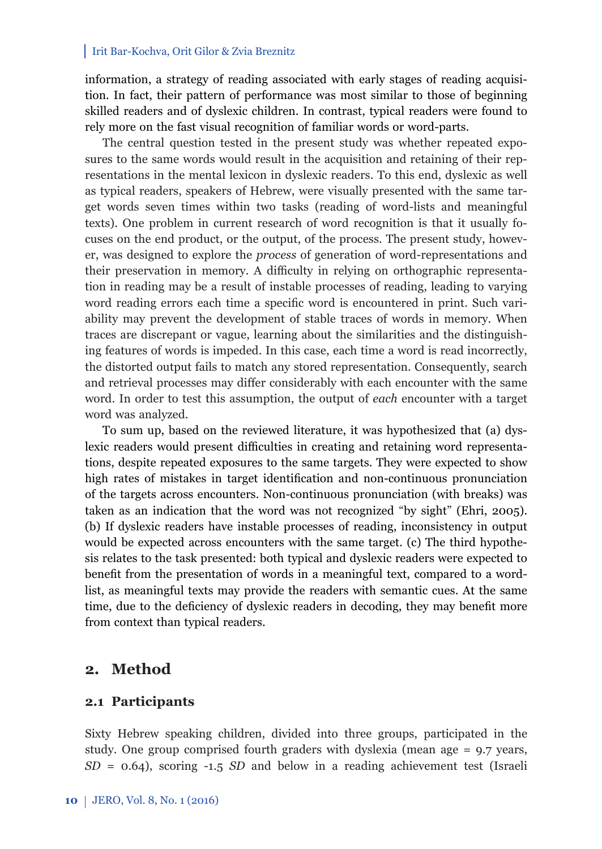information, a strategy of reading associated with early stages of reading acquisition. In fact, their pattern of performance was most similar to those of beginning skilled readers and of dyslexic children. In contrast, typical readers were found to rely more on the fast visual recognition of familiar words or word-parts.

The central question tested in the present study was whether repeated exposures to the same words would result in the acquisition and retaining of their representations in the mental lexicon in dyslexic readers. To this end, dyslexic as well as typical readers, speakers of Hebrew, were visually presented with the same target words seven times within two tasks (reading of word-lists and meaningful texts). One problem in current research of word recognition is that it usually focuses on the end product, or the output, of the process. The present study, however, was designed to explore the *process* of generation of word-representations and their preservation in memory. A difficulty in relying on orthographic representation in reading may be a result of instable processes of reading, leading to varying word reading errors each time a specific word is encountered in print. Such variability may prevent the development of stable traces of words in memory. When traces are discrepant or vague, learning about the similarities and the distinguishing features of words is impeded. In this case, each time a word is read incorrectly, the distorted output fails to match any stored representation. Consequently, search and retrieval processes may differ considerably with each encounter with the same word. In order to test this assumption, the output of *each* encounter with a target word was analyzed.

To sum up, based on the reviewed literature, it was hypothesized that (a) dyslexic readers would present difficulties in creating and retaining word representations, despite repeated exposures to the same targets. They were expected to show high rates of mistakes in target identification and non-continuous pronunciation of the targets across encounters. Non-continuous pronunciation (with breaks) was taken as an indication that the word was not recognized "by sight" (Ehri, 2005). (b) If dyslexic readers have instable processes of reading, inconsistency in output would be expected across encounters with the same target. (c) The third hypothesis relates to the task presented: both typical and dyslexic readers were expected to benefit from the presentation of words in a meaningful text, compared to a wordlist, as meaningful texts may provide the readers with semantic cues. At the same time, due to the deficiency of dyslexic readers in decoding, they may benefit more from context than typical readers.

# **2. Method**

### **2.1 Participants**

Sixty Hebrew speaking children, divided into three groups, participated in the study. One group comprised fourth graders with dyslexia (mean age = 9.7 years, *SD* = 0.64), scoring -1.5 *SD* and below in a reading achievement test (Israeli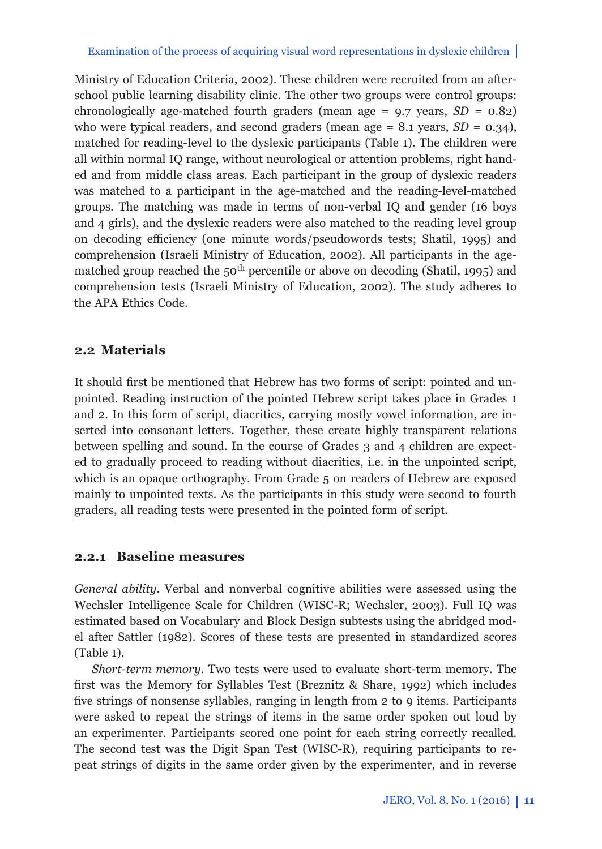Ministry of Education Criteria, 2002). These children were recruited from an afterschool public learning disability clinic. The other two groups were control groups: chronologically age-matched fourth graders (mean age  $= 9.7$  years,  $SD = 0.82$ ) who were typical readers, and second graders (mean age  $= 8.1$  years,  $SD = 0.34$ ), matched for reading-level to the dyslexic participants (Table 1). The children were all within normal IQ range, without neurological or attention problems, right handed and from middle class areas. Each participant in the group of dyslexic readers was matched to a participant in the age-matched and the reading-level-matched groups. The matching was made in terms of non-verbal IQ and gender (16 boys and 4 girls), and the dyslexic readers were also matched to the reading level group on decoding efficiency (one minute words/pseudowords tests; Shatil, 1995) and comprehension (Israeli Ministry of Education, 2002). All participants in the agematched group reached the  $50<sup>th</sup>$  percentile or above on decoding (Shatil, 1995) and comprehension tests (Israeli Ministry of Education, 2002). The study adheres to the APA Ethics Code.

## **2.2 Materials**

It should first be mentioned that Hebrew has two forms of script: pointed and unpointed. Reading instruction of the pointed Hebrew script takes place in Grades 1 and 2. In this form of script, diacritics, carrying mostly vowel information, are inserted into consonant letters. Together, these create highly transparent relations between spelling and sound. In the course of Grades 3 and 4 children are expected to gradually proceed to reading without diacritics, i.e. in the unpointed script, which is an opaque orthography. From Grade 5 on readers of Hebrew are exposed mainly to unpointed texts. As the participants in this study were second to fourth graders, all reading tests were presented in the pointed form of script.

## **2.2.1 Baseline measures**

*General ability*. Verbal and nonverbal cognitive abilities were assessed using the Wechsler Intelligence Scale for Children (WISC-R; Wechsler, 2003). Full IQ was estimated based on Vocabulary and Block Design subtests using the abridged model after Sattler (1982). Scores of these tests are presented in standardized scores (Table 1).

*Short-term memory*. Two tests were used to evaluate short-term memory. The first was the Memory for Syllables Test (Breznitz  $\&$  Share, 1992) which includes five strings of nonsense syllables, ranging in length from 2 to 9 items. Participants were asked to repeat the strings of items in the same order spoken out loud by an experimenter. Participants scored one point for each string correctly recalled. The second test was the Digit Span Test (WISC-R), requiring participants to repeat strings of digits in the same order given by the experimenter, and in reverse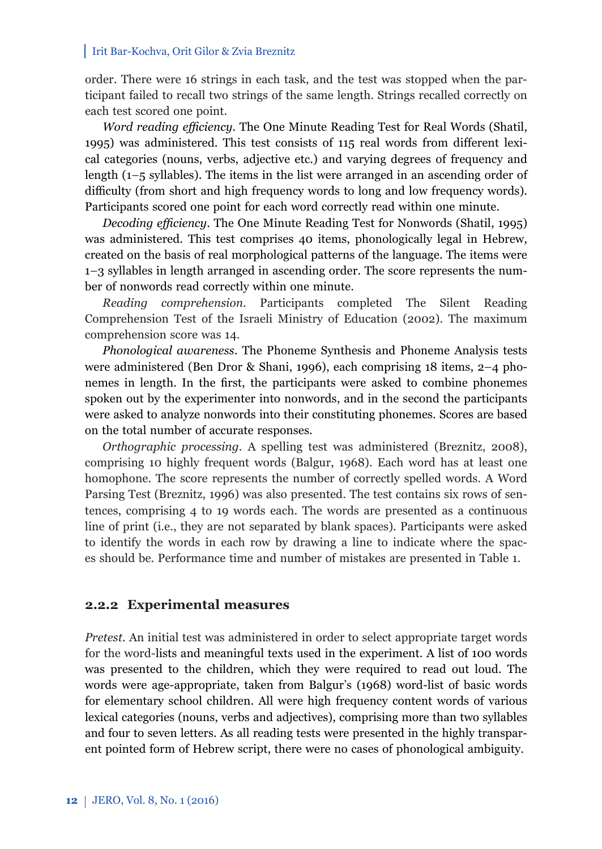order. There were 16 strings in each task, and the test was stopped when the participant failed to recall two strings of the same length. Strings recalled correctly on each test scored one point.

*Word reading efficiency*. The One Minute Reading Test for Real Words (Shatil, 1995) was administered. This test consists of 115 real words from different lexical categories (nouns, verbs, adjective etc.) and varying degrees of frequency and length (1–5 syllables). The items in the list were arranged in an ascending order of difficulty (from short and high frequency words to long and low frequency words). Participants scored one point for each word correctly read within one minute.

*Decoding efficiency*. The One Minute Reading Test for Nonwords (Shatil, 1995) was administered. This test comprises 40 items, phonologically legal in Hebrew, created on the basis of real morphological patterns of the language. The items were 1–3 syllables in length arranged in ascending order. The score represents the number of nonwords read correctly within one minute.

*Reading comprehension*. Participants completed The Silent Reading Comprehension Test of the Israeli Ministry of Education (2002). The maximum comprehension score was 14.

*Phonological awareness*. The Phoneme Synthesis and Phoneme Analysis tests were administered (Ben Dror & Shani, 1996), each comprising 18 items, 2–4 phonemes in length. In the first, the participants were asked to combine phonemes spoken out by the experimenter into nonwords, and in the second the participants were asked to analyze nonwords into their constituting phonemes. Scores are based on the total number of accurate responses.

*Orthographic processing.* A spelling test was administered (Breznitz, 2008), comprising 10 highly frequent words (Balgur, 1968). Each word has at least one homophone. The score represents the number of correctly spelled words. A Word Parsing Test (Breznitz, 1996) was also presented. The test contains six rows of sentences, comprising 4 to 19 words each. The words are presented as a continuous line of print (i.e., they are not separated by blank spaces). Participants were asked to identify the words in each row by drawing a line to indicate where the spaces should be. Performance time and number of mistakes are presented in Table 1.

### **2.2.2 Experimental measures**

*Pretest.* An initial test was administered in order to select appropriate target words for the word-lists and meaningful texts used in the experiment. A list of 100 words was presented to the children, which they were required to read out loud. The words were age-appropriate, taken from Balgur's (1968) word-list of basic words for elementary school children. All were high frequency content words of various lexical categories (nouns, verbs and adjectives), comprising more than two syllables and four to seven letters. As all reading tests were presented in the highly transparent pointed form of Hebrew script, there were no cases of phonological ambiguity.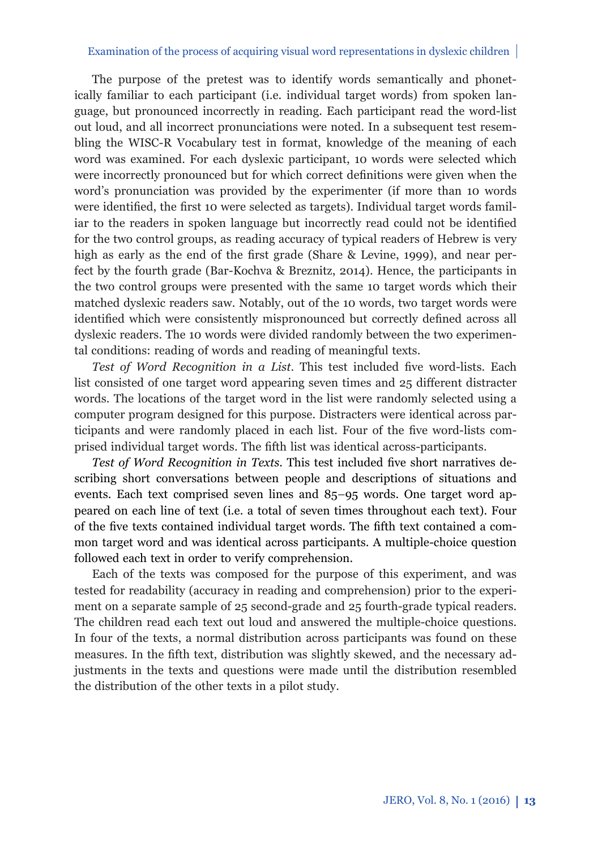The purpose of the pretest was to identify words semantically and phonetically familiar to each participant (i.e. individual target words) from spoken language, but pronounced incorrectly in reading. Each participant read the word-list out loud, and all incorrect pronunciations were noted. In a subsequent test resembling the WISC-R Vocabulary test in format, knowledge of the meaning of each word was examined. For each dyslexic participant, 10 words were selected which were incorrectly pronounced but for which correct definitions were given when the word's pronunciation was provided by the experimenter (if more than 10 words were identified, the first 10 were selected as targets). Individual target words familiar to the readers in spoken language but incorrectly read could not be identified for the two control groups, as reading accuracy of typical readers of Hebrew is very high as early as the end of the first grade (Share  $\&$  Levine, 1999), and near perfect by the fourth grade (Bar-Kochva & Breznitz, 2014). Hence, the participants in the two control groups were presented with the same 10 target words which their matched dyslexic readers saw. Notably, out of the 10 words, two target words were identified which were consistently mispronounced but correctly defined across all dyslexic readers. The 10 words were divided randomly between the two experimental conditions: reading of words and reading of meaningful texts.

Test of Word Recognition in a List. This test included five word-lists. Each list consisted of one target word appearing seven times and  $25$  different distracter words. The locations of the target word in the list were randomly selected using a computer program designed for this purpose. Distracters were identical across participants and were randomly placed in each list. Four of the five word-lists comprised individual target words. The fifth list was identical across-participants.

Test of Word Recognition in Texts. This test included five short narratives describing short conversations between people and descriptions of situations and events. Each text comprised seven lines and 85–95 words. One target word appeared on each line of text (i.e. a total of seven times throughout each text). Four of the five texts contained individual target words. The fifth text contained a common target word and was identical across participants. A multiple-choice question followed each text in order to verify comprehension.

Each of the texts was composed for the purpose of this experiment, and was tested for readability (accuracy in reading and comprehension) prior to the experiment on a separate sample of 25 second-grade and 25 fourth-grade typical readers. The children read each text out loud and answered the multiple-choice questions. In four of the texts, a normal distribution across participants was found on these measures. In the fifth text, distribution was slightly skewed, and the necessary adjustments in the texts and questions were made until the distribution resembled the distribution of the other texts in a pilot study.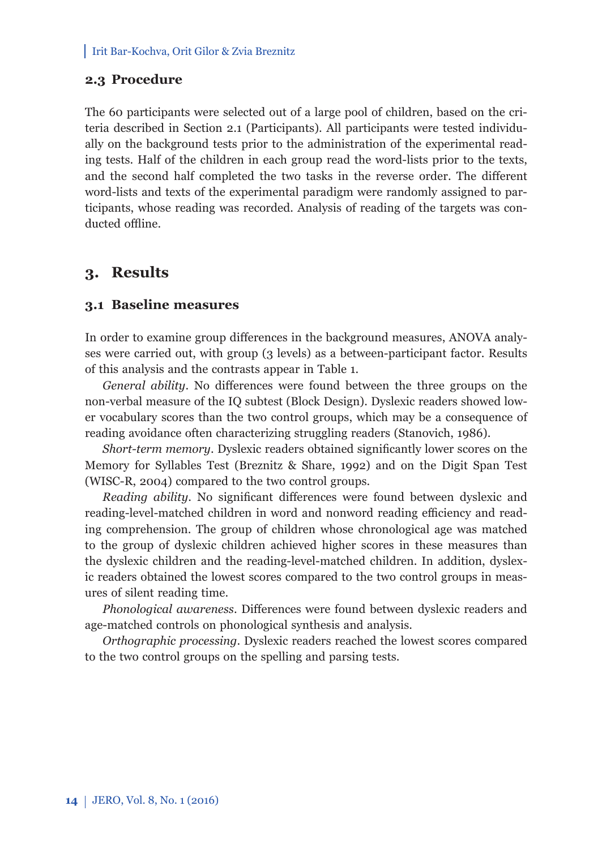## **2.3 Procedure**

The 60 participants were selected out of a large pool of children, based on the criteria described in Section 2.1 (Participants). All participants were tested individually on the background tests prior to the administration of the experimental reading tests. Half of the children in each group read the word-lists prior to the texts, and the second half completed the two tasks in the reverse order. The different word-lists and texts of the experimental paradigm were randomly assigned to participants, whose reading was recorded. Analysis of reading of the targets was conducted offline.

## **3. Results**

### **3.1 Baseline measures**

In order to examine group differences in the background measures, ANOVA analyses were carried out, with group (3 levels) as a between-participant factor. Results of this analysis and the contrasts appear in Table 1.

*General ability*. No differences were found between the three groups on the non-verbal measure of the IQ subtest (Block Design). Dyslexic readers showed lower vocabulary scores than the two control groups, which may be a consequence of reading avoidance often characterizing struggling readers (Stanovich, 1986).

*Short-term memory*. Dyslexic readers obtained significantly lower scores on the Memory for Syllables Test (Breznitz & Share, 1992) and on the Digit Span Test (WISC-R, 2004) compared to the two control groups.

*Reading ability*. No significant differences were found between dyslexic and reading-level-matched children in word and nonword reading efficiency and reading comprehension. The group of children whose chronological age was matched to the group of dyslexic children achieved higher scores in these measures than the dyslexic children and the reading-level-matched children. In addition, dyslexic readers obtained the lowest scores compared to the two control groups in measures of silent reading time.

*Phonological awareness*. Differences were found between dyslexic readers and age-matched controls on phonological synthesis and analysis.

*Orthographic processing*. Dyslexic readers reached the lowest scores compared to the two control groups on the spelling and parsing tests.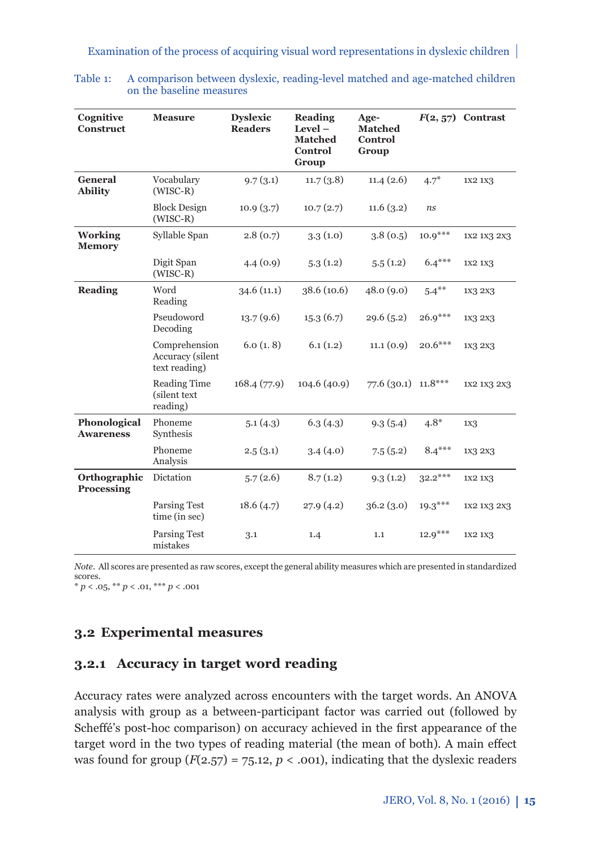| Cognitive<br><b>Construct</b>    | <b>Measure</b>                                            | <b>Dyslexic</b><br><b>Readers</b> | Reading<br>$Level -$<br><b>Matched</b><br>Control<br>Group | Age-<br><b>Matched</b><br>Control<br>Group |           | $F(2, 57)$ Contrast |
|----------------------------------|-----------------------------------------------------------|-----------------------------------|------------------------------------------------------------|--------------------------------------------|-----------|---------------------|
| General<br><b>Ability</b>        | Vocabulary<br>$(WISC-R)$                                  | 9.7(3.1)                          | 11.7(3.8)                                                  | 11.4(2.6)                                  | $4.7*$    | 1X2 1X3             |
|                                  | <b>Block Design</b><br>$(WISC-R)$                         | 10.9(3.7)                         | 10.7(2.7)                                                  | 11.6(3.2)                                  | ns        |                     |
| <b>Working</b><br><b>Memory</b>  | Syllable Span                                             | 2.8(0.7)                          | 3.3(1.0)                                                   | 3.8(0.5)                                   | $10.9***$ | 1X2 1X3 2X3         |
|                                  | Digit Span<br>$(WISC-R)$                                  | 4.4(0.9)                          | 5.3(1.2)                                                   | 5.5(1.2)                                   | $6.4***$  | 1X2 1X3             |
| <b>Reading</b>                   | Word<br>Reading                                           | 34.6(11.1)                        | 38.6 (10.6)                                                | 48.0(9.0)                                  | $5.4***$  | 1x3 2x3             |
|                                  | Pseudoword<br>Decoding                                    | 13.7(9.6)                         | 15.3(6.7)                                                  | 29.6(5.2)                                  | $26.9***$ | 1X3 2X3             |
|                                  | Comprehension<br><b>Accuracy</b> (silent<br>text reading) | 6.0(1.8)                          | 6.1(1.2)                                                   | 11.1(0.9)                                  | $20.6***$ | 1X3 2X3             |
|                                  | <b>Reading Time</b><br>(silent text<br>reading)           | 168.4(77.9)                       | 104.6(40.9)                                                | 77.6 (30.1) 11.8***                        |           | 1X2 1X3 2X3         |
| Phonological<br><b>Awareness</b> | Phoneme<br>Synthesis                                      | 5.1(4.3)                          | 6.3(4.3)                                                   | 9.3(5.4)                                   | $4.8*$    | 1X <sub>3</sub>     |
|                                  | Phoneme<br>Analysis                                       | 2.5(3.1)                          | 3.4(4.0)                                                   | 7.5(5.2)                                   | $8.4***$  | 1X3 2X3             |
| Orthographic<br>Processing       | Dictation                                                 | 5.7(2.6)                          | 8.7(1.2)                                                   | 9.3(1.2)                                   | $32.2***$ | 1X2 1X3             |
|                                  | <b>Parsing Test</b><br>time (in sec)                      | 18.6(4.7)                         | 27.9(4.2)                                                  | 36.2(3.0)                                  | $19.3***$ | 1X2 1X3 2X3         |
|                                  | <b>Parsing Test</b><br>mistakes                           | 3.1                               | 1.4                                                        | 1.1                                        | $12.9***$ | 1X2 1X3             |

Table 1: A comparison between dyslexic, reading-level matched and age-matched children on the baseline measures

*Note*. All scores are presented as raw scores, except the general ability measures which are presented in standardized scores.  $* p < .05, ** p < .01, ** p < .001$ 

# **3.2 Experimental measures**

# **3.2.1 Accuracy in target word reading**

Accuracy rates were analyzed across encounters with the target words. An ANOVA analysis with group as a between-participant factor was carried out (followed by Scheffé's post-hoc comparison) on accuracy achieved in the first appearance of the target word in the two types of reading material (the mean of both). A main effect was found for group  $(F(2.57) = 75.12, p < .001)$ , indicating that the dyslexic readers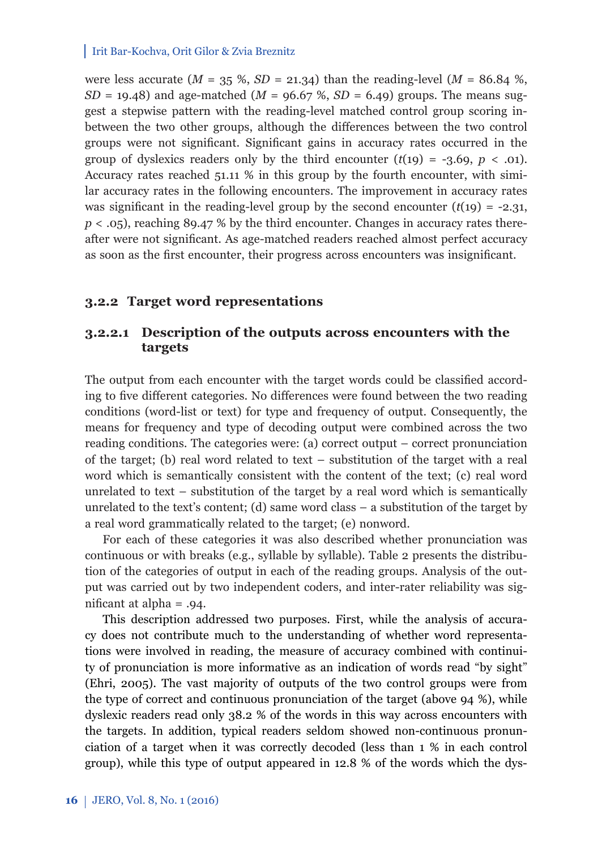were less accurate  $(M = 35 \%, SD = 21.34)$  than the reading-level  $(M = 86.84 \%$ , *SD* = 19.48) and age-matched ( $M = 96.67$ %,  $SD = 6.49$ ) groups. The means suggest a stepwise pattern with the reading-level matched control group scoring inbetween the two other groups, although the differences between the two control groups were not significant. Significant gains in accuracy rates occurred in the group of dyslexics readers only by the third encounter  $(t(19) = -3.69, p < .01)$ . Accuracy rates reached 51.11 % in this group by the fourth encounter, with similar accuracy rates in the following encounters. The improvement in accuracy rates was significant in the reading-level group by the second encounter  $(t(19) = -2.31$ , *p* < .05), reaching 89.47 % by the third encounter. Changes in accuracy rates thereafter were not significant. As age-matched readers reached almost perfect accuracy as soon as the first encounter, their progress across encounters was insignificant.

### **3.2.2 Target word representations**

## **3.2.2.1 Description of the outputs across encounters with the targets**

The output from each encounter with the target words could be classified according to five different categories. No differences were found between the two reading conditions (word-list or text) for type and frequency of output. Consequently, the means for frequency and type of decoding output were combined across the two reading conditions. The categories were: (a) correct output – correct pronunciation of the target; (b) real word related to text – substitution of the target with a real word which is semantically consistent with the content of the text; (c) real word unrelated to text – substitution of the target by a real word which is semantically unrelated to the text's content; (d) same word class  $-$  a substitution of the target by a real word grammatically related to the target; (e) nonword.

For each of these categories it was also described whether pronunciation was continuous or with breaks (e.g., syllable by syllable). Table 2 presents the distribution of the categories of output in each of the reading groups. Analysis of the output was carried out by two independent coders, and inter-rater reliability was significant at alpha  $= .94$ .

This description addressed two purposes. First, while the analysis of accuracy does not contribute much to the understanding of whether word representations were involved in reading, the measure of accuracy combined with continuity of pronunciation is more informative as an indication of words read "by sight" (Ehri, 2005). The vast majority of outputs of the two control groups were from the type of correct and continuous pronunciation of the target (above 94 %), while dyslexic readers read only 38.2 % of the words in this way across encounters with the targets. In addition, typical readers seldom showed non-continuous pronunciation of a target when it was correctly decoded (less than 1 % in each control group), while this type of output appeared in 12.8 % of the words which the dys-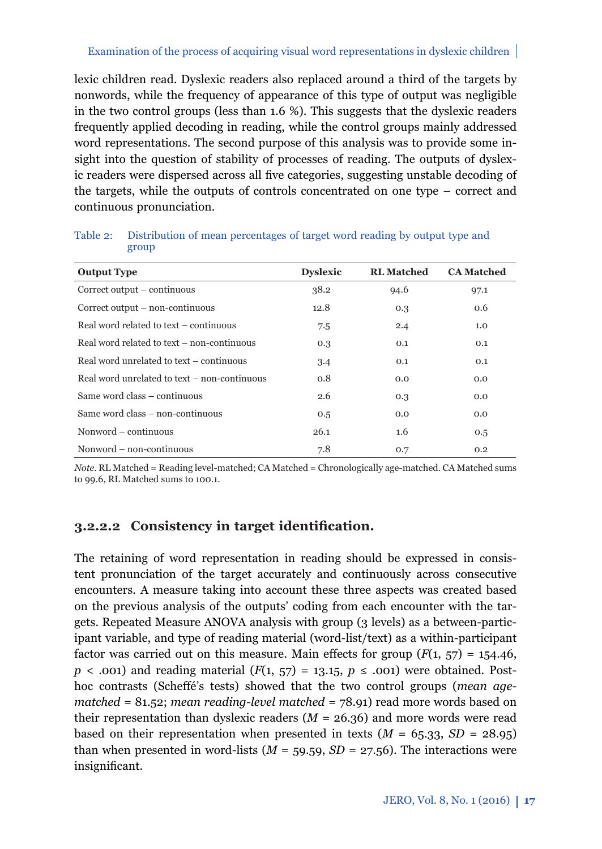lexic children read. Dyslexic readers also replaced around a third of the targets by nonwords, while the frequency of appearance of this type of output was negligible in the two control groups (less than 1.6 %). This suggests that the dyslexic readers frequently applied decoding in reading, while the control groups mainly addressed word representations. The second purpose of this analysis was to provide some insight into the question of stability of processes of reading. The outputs of dyslexic readers were dispersed across all five categories, suggesting unstable decoding of the targets, while the outputs of controls concentrated on one type – correct and continuous pronunciation.

| <b>Output Type</b>                           | <b>Dyslexic</b> | <b>RL</b> Matched | <b>CA Matched</b> |
|----------------------------------------------|-----------------|-------------------|-------------------|
| Correct output – continuous                  | 38.2            | 94.6              | 97.1              |
| Correct output – non-continuous              | 12.8            | 0.3               | 0.6               |
| Real word related to text – continuous       | 7.5             | 2.4               | 1.0               |
| Real word related to text – non-continuous   | 0.3             | 0.1               | 0.1               |
| Real word unrelated to text – continuous     | 3.4             | 0.1               | 0.1               |
| Real word unrelated to text – non-continuous | 0.8             | 0.0               | 0.0               |
| Same word class – continuous                 | 2.6             | 0.3               | 0.0               |
| Same word class - non-continuous             | 0.5             | 0.0               | 0.0               |
| Nonword – continuous                         | 26.1            | 1.6               | 0.5               |
| Nonword – non-continuous                     | 7.8             | 0.7               | 0.2               |

Table 2: Distribution of mean percentages of target word reading by output type and group

*Note.* RL Matched = Reading level-matched; CA Matched = Chronologically age-matched. CA Matched sums to 99.6, RL Matched sums to 100.1.

## **3.2.2.2** Consistency in target identification.

The retaining of word representation in reading should be expressed in consistent pronunciation of the target accurately and continuously across consecutive encounters. A measure taking into account these three aspects was created based on the previous analysis of the outputs' coding from each encounter with the targets. Repeated Measure ANOVA analysis with group (3 levels) as a between-participant variable, and type of reading material (word-list/text) as a within-participant factor was carried out on this measure. Main effects for group  $(F(1, 57) = 154.46$ , *p* < .001) and reading material  $(F(1, 57) = 13.15, p \le .001)$  were obtained. Posthoc contrasts (Scheffé's tests) showed that the two control groups (*mean agematched =* 81.52; *mean reading-level matched =* 78.91) read more words based on their representation than dyslexic readers  $(M = 26.36)$  and more words were read based on their representation when presented in texts  $(M = 65.33, SD = 28.95)$ than when presented in word-lists  $(M = 59.59, SD = 27.56)$ . The interactions were insignificant.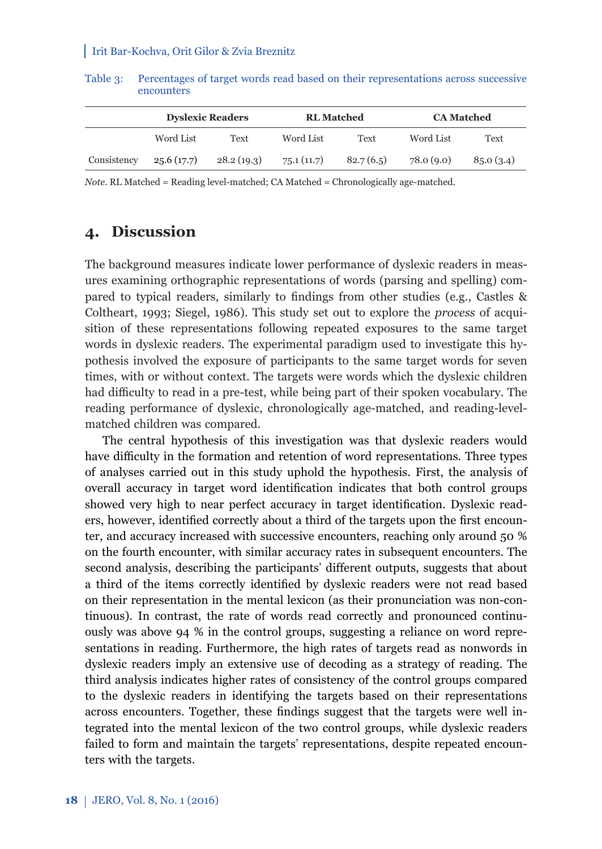|             | <b>Dyslexic Readers</b> |            | <b>RL</b> Matched |           | <b>CA Matched</b> |           |
|-------------|-------------------------|------------|-------------------|-----------|-------------------|-----------|
|             | Word List               | Text       | Word List         | Text      | Word List         | Text      |
| Consistency | 25.6(17.7)              | 28.2(19.3) | 75.1(11.7)        | 82.7(6.5) | 78.0(9.0)         | 85.0(3.4) |

Table 3: Percentages of target words read based on their representations across successive encounters

*Note.* RL Matched = Reading level-matched; CA Matched = Chronologically age-matched.

# **4. Discussion**

The background measures indicate lower performance of dyslexic readers in measures examining orthographic representations of words (parsing and spelling) compared to typical readers, similarly to findings from other studies (e.g., Castles & Coltheart, 1993; Siegel, 1986). This study set out to explore the *process* of acquisition of these representations following repeated exposures to the same target words in dyslexic readers. The experimental paradigm used to investigate this hypothesis involved the exposure of participants to the same target words for seven times, with or without context. The targets were words which the dyslexic children had difficulty to read in a pre-test, while being part of their spoken vocabulary. The reading performance of dyslexic, chronologically age-matched, and reading-levelmatched children was compared.

The central hypothesis of this investigation was that dyslexic readers would have difficulty in the formation and retention of word representations. Three types of analyses carried out in this study uphold the hypothesis. First, the analysis of overall accuracy in target word identification indicates that both control groups showed very high to near perfect accuracy in target identification. Dyslexic readers, however, identified correctly about a third of the targets upon the first encounter, and accuracy increased with successive encounters, reaching only around 50 % on the fourth encounter, with similar accuracy rates in subsequent encounters. The second analysis, describing the participants' different outputs, suggests that about a third of the items correctly identified by dyslexic readers were not read based on their representation in the mental lexicon (as their pronunciation was non-continuous). In contrast, the rate of words read correctly and pronounced continuously was above 94 % in the control groups, suggesting a reliance on word representations in reading. Furthermore, the high rates of targets read as nonwords in dyslexic readers imply an extensive use of decoding as a strategy of reading. The third analysis indicates higher rates of consistency of the control groups compared to the dyslexic readers in identifying the targets based on their representations across encounters. Together, these findings suggest that the targets were well integrated into the mental lexicon of the two control groups, while dyslexic readers failed to form and maintain the targets' representations, despite repeated encounters with the targets.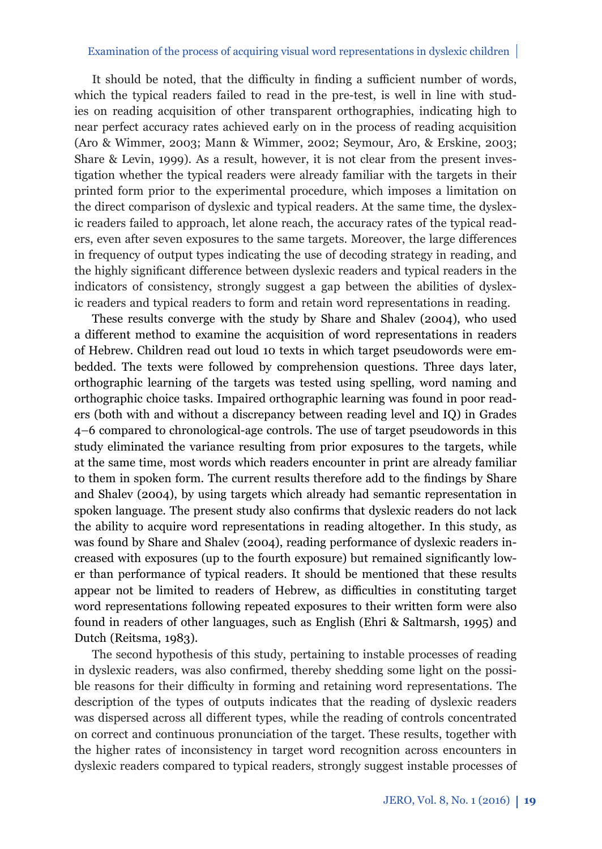It should be noted, that the difficulty in finding a sufficient number of words, which the typical readers failed to read in the pre-test, is well in line with studies on reading acquisition of other transparent orthographies, indicating high to near perfect accuracy rates achieved early on in the process of reading acquisition (Aro & Wimmer, 2003; Mann & Wimmer, 2002; Seymour, Aro, & Erskine, 2003; Share & Levin, 1999). As a result, however, it is not clear from the present investigation whether the typical readers were already familiar with the targets in their printed form prior to the experimental procedure, which imposes a limitation on the direct comparison of dyslexic and typical readers. At the same time, the dyslexic readers failed to approach, let alone reach, the accuracy rates of the typical readers, even after seven exposures to the same targets. Moreover, the large differences in frequency of output types indicating the use of decoding strategy in reading, and the highly significant difference between dyslexic readers and typical readers in the indicators of consistency, strongly suggest a gap between the abilities of dyslexic readers and typical readers to form and retain word representations in reading.

These results converge with the study by Share and Shalev (2004), who used a different method to examine the acquisition of word representations in readers of Hebrew. Children read out loud 10 texts in which target pseudowords were embedded. The texts were followed by comprehension questions. Three days later, orthographic learning of the targets was tested using spelling, word naming and orthographic choice tasks. Impaired orthographic learning was found in poor readers (both with and without a discrepancy between reading level and IQ) in Grades 4–6 compared to chronological-age controls. The use of target pseudowords in this study eliminated the variance resulting from prior exposures to the targets, while at the same time, most words which readers encounter in print are already familiar to them in spoken form. The current results therefore add to the findings by Share and Shalev (2004), by using targets which already had semantic representation in spoken language. The present study also confirms that dyslexic readers do not lack the ability to acquire word representations in reading altogether. In this study, as was found by Share and Shalev (2004), reading performance of dyslexic readers increased with exposures (up to the fourth exposure) but remained significantly lower than performance of typical readers. It should be mentioned that these results appear not be limited to readers of Hebrew, as difficulties in constituting target word representations following repeated exposures to their written form were also found in readers of other languages, such as English (Ehri & Saltmarsh, 1995) and Dutch (Reitsma, 1983).

The second hypothesis of this study, pertaining to instable processes of reading in dyslexic readers, was also confirmed, thereby shedding some light on the possible reasons for their difficulty in forming and retaining word representations. The description of the types of outputs indicates that the reading of dyslexic readers was dispersed across all different types, while the reading of controls concentrated on correct and continuous pronunciation of the target. These results, together with the higher rates of inconsistency in target word recognition across encounters in dyslexic readers compared to typical readers, strongly suggest instable processes of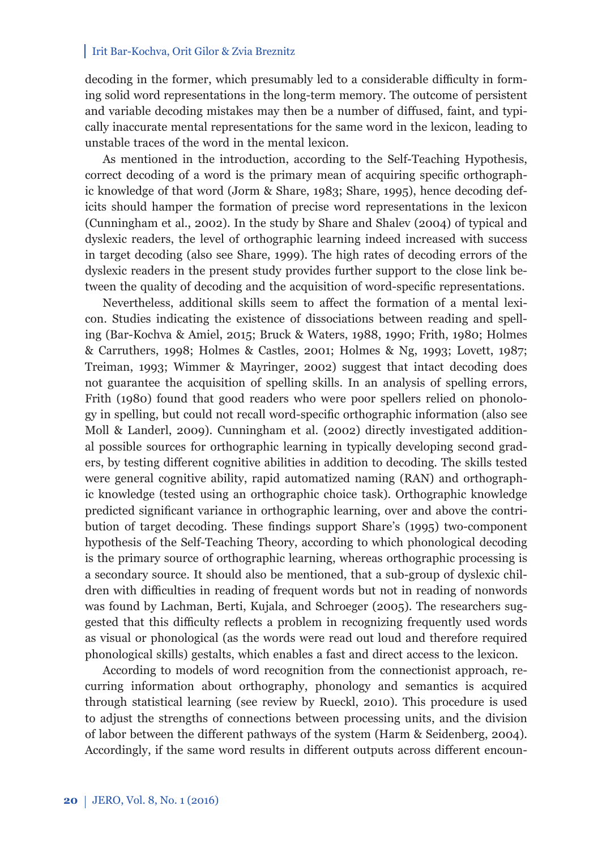decoding in the former, which presumably led to a considerable difficulty in forming solid word representations in the long-term memory. The outcome of persistent and variable decoding mistakes may then be a number of diffused, faint, and typically inaccurate mental representations for the same word in the lexicon, leading to unstable traces of the word in the mental lexicon.

As mentioned in the introduction, according to the Self-Teaching Hypothesis, correct decoding of a word is the primary mean of acquiring specific orthographic knowledge of that word (Jorm & Share, 1983; Share, 1995), hence decoding deficits should hamper the formation of precise word representations in the lexicon (Cunningham et al., 2002). In the study by Share and Shalev (2004) of typical and dyslexic readers, the level of orthographic learning indeed increased with success in target decoding (also see Share, 1999). The high rates of decoding errors of the dyslexic readers in the present study provides further support to the close link between the quality of decoding and the acquisition of word-specific representations.

Nevertheless, additional skills seem to affect the formation of a mental lexicon. Studies indicating the existence of dissociations between reading and spelling (Bar-Kochva & Amiel, 2015; Bruck & Waters, 1988, 1990; Frith, 1980; Holmes & Carruthers, 1998; Holmes & Castles, 2001; Holmes & Ng, 1993; Lovett, 1987; Treiman, 1993; Wimmer & Mayringer, 2002) suggest that intact decoding does not guarantee the acquisition of spelling skills. In an analysis of spelling errors, Frith (1980) found that good readers who were poor spellers relied on phonology in spelling, but could not recall word-specific orthographic information (also see Moll & Landerl, 2009). Cunningham et al. (2002) directly investigated additional possible sources for orthographic learning in typically developing second graders, by testing different cognitive abilities in addition to decoding. The skills tested were general cognitive ability, rapid automatized naming (RAN) and orthographic knowledge (tested using an orthographic choice task). Orthographic knowledge predicted significant variance in orthographic learning, over and above the contribution of target decoding. These findings support Share's (1995) two-component hypothesis of the Self-Teaching Theory, according to which phonological decoding is the primary source of orthographic learning, whereas orthographic processing is a secondary source. It should also be mentioned, that a sub-group of dyslexic children with difficulties in reading of frequent words but not in reading of nonwords was found by Lachman, Berti, Kujala, and Schroeger (2005). The researchers suggested that this difficulty reflects a problem in recognizing frequently used words as visual or phonological (as the words were read out loud and therefore required phonological skills) gestalts, which enables a fast and direct access to the lexicon.

According to models of word recognition from the connectionist approach, recurring information about orthography, phonology and semantics is acquired through statistical learning (see review by Rueckl, 2010). This procedure is used to adjust the strengths of connections between processing units, and the division of labor between the different pathways of the system (Harm & Seidenberg, 2004). Accordingly, if the same word results in different outputs across different encoun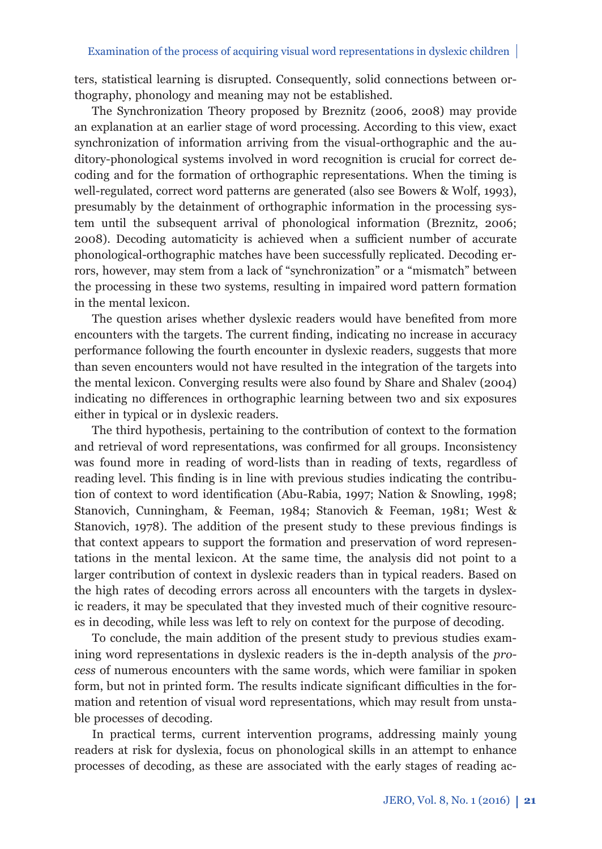ters, statistical learning is disrupted. Consequently, solid connections between orthography, phonology and meaning may not be established.

The Synchronization Theory proposed by Breznitz (2006, 2008) may provide an explanation at an earlier stage of word processing. According to this view, exact synchronization of information arriving from the visual-orthographic and the auditory-phonological systems involved in word recognition is crucial for correct decoding and for the formation of orthographic representations. When the timing is well-regulated, correct word patterns are generated (also see Bowers & Wolf, 1993), presumably by the detainment of orthographic information in the processing system until the subsequent arrival of phonological information (Breznitz, 2006; 2008). Decoding automaticity is achieved when a sufficient number of accurate phonological-orthographic matches have been successfully replicated. Decoding errors, however, may stem from a lack of "synchronization" or a "mismatch" between the processing in these two systems, resulting in impaired word pattern formation in the mental lexicon.

The question arises whether dyslexic readers would have benefited from more encounters with the targets. The current finding, indicating no increase in accuracy performance following the fourth encounter in dyslexic readers, suggests that more than seven encounters would not have resulted in the integration of the targets into the mental lexicon. Converging results were also found by Share and Shalev (2004) indicating no differences in orthographic learning between two and six exposures either in typical or in dyslexic readers.

The third hypothesis, pertaining to the contribution of context to the formation and retrieval of word representations, was confirmed for all groups. Inconsistency was found more in reading of word-lists than in reading of texts, regardless of reading level. This finding is in line with previous studies indicating the contribution of context to word identification (Abu-Rabia, 1997; Nation & Snowling, 1998; Stanovich, Cunningham, & Feeman, 1984; Stanovich & Feeman, 1981; West & Stanovich, 1978). The addition of the present study to these previous findings is that context appears to support the formation and preservation of word representations in the mental lexicon. At the same time, the analysis did not point to a larger contribution of context in dyslexic readers than in typical readers. Based on the high rates of decoding errors across all encounters with the targets in dyslexic readers, it may be speculated that they invested much of their cognitive resources in decoding, while less was left to rely on context for the purpose of decoding.

To conclude, the main addition of the present study to previous studies examining word representations in dyslexic readers is the in-depth analysis of the *process* of numerous encounters with the same words, which were familiar in spoken form, but not in printed form. The results indicate significant difficulties in the formation and retention of visual word representations, which may result from unstable processes of decoding.

In practical terms, current intervention programs, addressing mainly young readers at risk for dyslexia, focus on phonological skills in an attempt to enhance processes of decoding, as these are associated with the early stages of reading ac-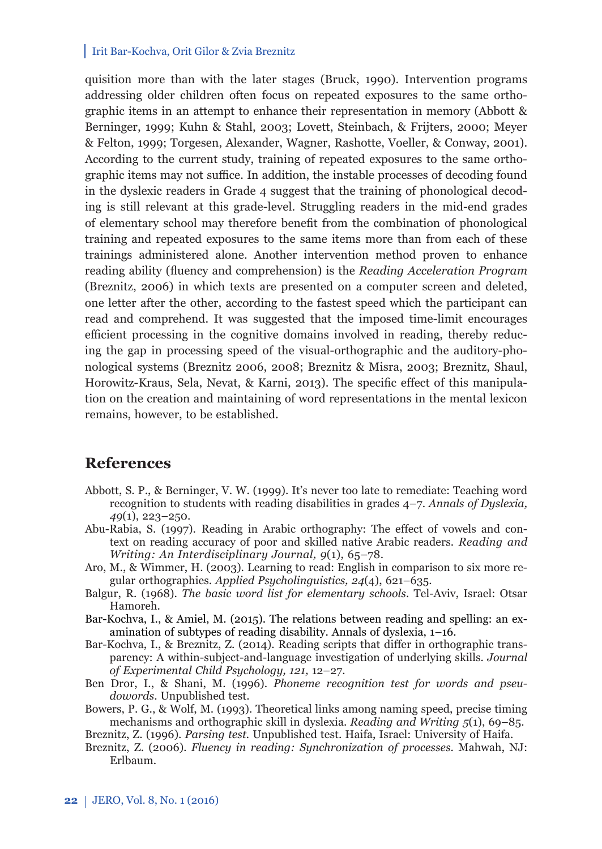quisition more than with the later stages (Bruck, 1990). Intervention programs addressing older children often focus on repeated exposures to the same orthographic items in an attempt to enhance their representation in memory (Abbott & Berninger, 1999; Kuhn & Stahl, 2003; Lovett, Steinbach, & Frijters, 2000; Meyer & Felton, 1999; Torgesen, Alexander, Wagner, Rashotte, Voeller, & Conway, 2001). According to the current study, training of repeated exposures to the same orthographic items may not suffice. In addition, the instable processes of decoding found in the dyslexic readers in Grade 4 suggest that the training of phonological decoding is still relevant at this grade-level. Struggling readers in the mid-end grades of elementary school may therefore benefi t from the combination of phonological training and repeated exposures to the same items more than from each of these trainings administered alone. Another intervention method proven to enhance reading ability (fluency and comprehension) is the *Reading Acceleration Program* (Breznitz, 2006) in which texts are presented on a computer screen and deleted, one letter after the other, according to the fastest speed which the participant can read and comprehend. It was suggested that the imposed time-limit encourages efficient processing in the cognitive domains involved in reading, thereby reducing the gap in processing speed of the visual-orthographic and the auditory-phonological systems (Breznitz 2006, 2008; Breznitz & Misra, 2003; Breznitz, Shaul, Horowitz-Kraus, Sela, Nevat, & Karni, 2013). The specific effect of this manipulation on the creation and maintaining of word representations in the mental lexicon remains, however, to be established.

# **References**

- Abbott, S. P., & Berninger, V. W. (1999). It's never too late to remediate: Teaching word recognition to students with reading disabilities in grades 4–7. *Annals of Dyslexia, 49*(1), 223–250.
- Abu-Rabia, S. (1997). Reading in Arabic orthography: The effect of vowels and context on reading accuracy of poor and skilled native Arabic readers. *Reading and Writing: An Interdisciplinary Journal, 9*(1), 65–78.
- Aro, M., & Wimmer, H. (2003). Learning to read: English in comparison to six more regular orthographies. *Applied Psycholinguistics, 24*(4), 621–635.
- Balgur, R. (1968). *The basic word list for elementary schools*. Tel-Aviv, Israel: Otsar Hamoreh.
- Bar-Kochva, I., & Amiel, M. (2015). The relations between reading and spelling: an examination of subtypes of reading disability. Annals of dyslexia, 1–16.
- Bar-Kochva, I., & Breznitz, Z. (2014). Reading scripts that differ in orthographic transparency: A within-subject-and-language investigation of underlying skills. *Journal of Experimental Child Psychology, 121,* 12–27.
- Ben Dror, I., & Shani, M. (1996). *Phoneme recognition test for words and pseudowords*. Unpublished test.
- Bowers, P. G., & Wolf, M. (1993). Theoretical links among naming speed, precise timing mechanisms and orthographic skill in dyslexia. *Reading and Writing 5*(1), 69–85.

Breznitz, Z. (1996). *Parsing test.* Unpublished test. Haifa, Israel: University of Haifa.

Breznitz, Z. (2006)*. Fluency in reading: Synchronization of processes*. Mahwah, NJ: Erlbaum.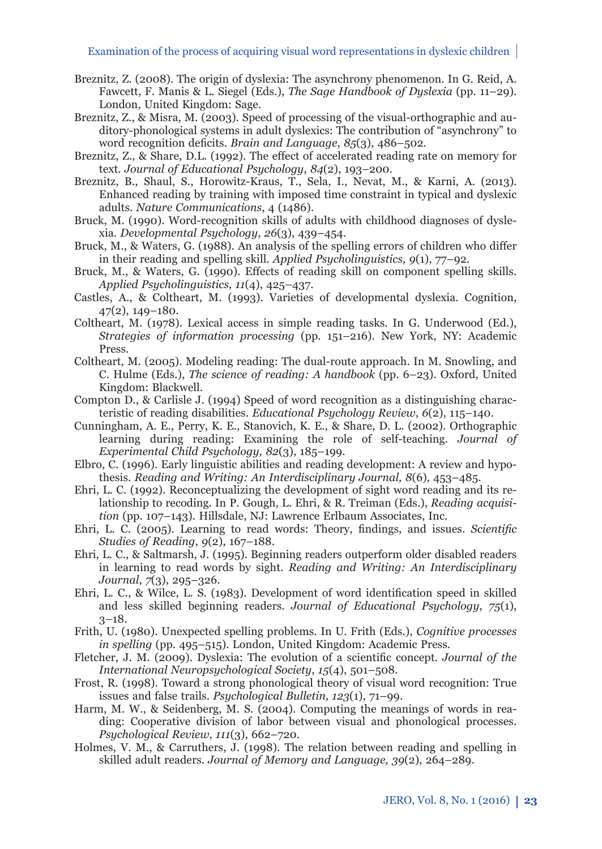- Breznitz, Z. (2008). The origin of dyslexia: The asynchrony phenomenon. In G. Reid, A. Fawcett, F. Manis & L. Siegel (Eds.), *The Sage Handbook of Dyslexia* (pp. 11–29). London, United Kingdom: Sage.
- Breznitz, Z., & Misra, M. (2003). Speed of processing of the visual-orthographic and auditory-phonological systems in adult dyslexics: The contribution of "asynchrony" to word recognition deficits. *Brain and Language*, *85*(3), 486–502.
- Breznitz, Z., & Share, D.L. (1992). The effect of accelerated reading rate on memory for text. *Journal of Educational Psychology*, *84*(2), 193–200.
- Breznitz, B., Shaul, S., Horowitz-Kraus, T., Sela, I., Nevat, M., & Karni, A. (2013). Enhanced reading by training with imposed time constraint in typical and dyslexic adults. *Nature Communications*, 4 (1486).
- Bruck, M. (1990). Word-recognition skills of adults with childhood diagnoses of dyslexia. *Developmental Psychology*, *26*(3), 439–454.
- Bruck, M., & Waters, G. (1988). An analysis of the spelling errors of children who differ in their reading and spelling skill. *Applied Psycholinguistics, 9*(1), 77–92.
- Bruck, M., & Waters, G. (1990). Effects of reading skill on component spelling skills. *Applied Psycholinguistics, 11*(4), 425–437.
- Castles, A., & Coltheart, M. (1993). Varieties of developmental dyslexia. Cognition, 47(2), 149–180.
- Coltheart, M. (1978). Lexical access in simple reading tasks. In G. Underwood (Ed.), *Strategies of information processing* (pp. 151–216). New York, NY: Academic Press.
- Coltheart, M. (2005). Modeling reading: The dual-route approach. In M. Snowling, and C. Hulme (Eds.), *The science of reading: A handbook* (pp. 6–23). Oxford, United Kingdom: Blackwell.
- Compton D., & Carlisle J. (1994) Speed of word recognition as a distinguishing characteristic of reading disabilities. *Educational Psychology Review*, *6*(2), 115–140.
- Cunningham, A. E., Perry, K. E., Stanovich, K. E., & Share, D. L. (2002). Orthographic learning during reading: Examining the role of self-teaching*. Journal of Experimental Child Psychology, 82*(3), 185–199.
- Elbro, C. (1996). Early linguistic abilities and reading development: A review and hypothesis. *Reading and Writing: An Interdisciplinary Journal, 8*(6)*,* 453–485.
- Ehri, L. C. (1992). Reconceptualizing the development of sight word reading and its relationship to recoding. In P. Gough, L. Ehri, & R. Treiman (Eds.), *Reading acquisition* (pp. 107–143). Hillsdale, NJ: Lawrence Erlbaum Associates, Inc.
- Ehri, L. C. (2005). Learning to read words: Theory, findings, and issues. *Scientific Studies of Reading*, *9*(2), 167–188.
- Ehri, L. C., & Saltmarsh, J. (1995). Beginning readers outperform older disabled readers in learning to read words by sight. *Reading and Writing: An Interdisciplinary Journal*, *7*(3), 295–326.
- Ehri, L. C., & Wilce, L. S. (1983). Development of word identification speed in skilled and less skilled beginning readers. *Journal of Educational Psychology*, *75*(1),  $3-18.$
- Frith, U. (1980). Unexpected spelling problems. In U. Frith (Eds.), *Cognitive processes in spelling* (pp. 495–515). London, United Kingdom: Academic Press.
- Fletcher, J. M. (2009). Dyslexia: The evolution of a scientific concept. *Journal of the International Neuropsychological Society*, *15*(4), 501–508.
- Frost, R. (1998). Toward a strong phonological theory of visual word recognition: True issues and false trails. *Psychological Bulletin, 123*(1), 71–99.
- Harm, M. W., & Seidenberg, M. S. (2004). Computing the meanings of words in reading: Cooperative division of labor between visual and phonological processes. *Psychological Review*, *111*(3), 662–720.
- Holmes, V. M., & Carruthers, J. (1998). The relation between reading and spelling in skilled adult readers. *Journal of Memory and Language, 39*(2), 264–289.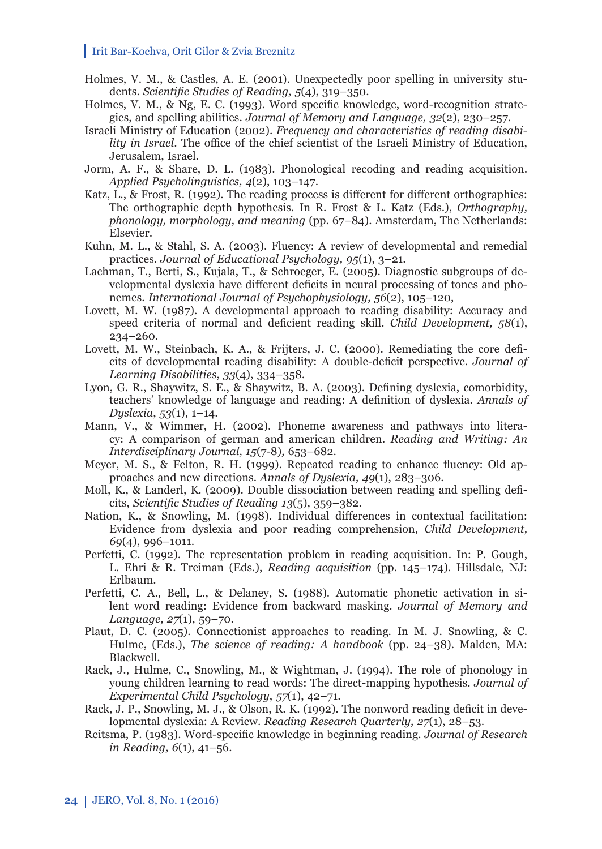- Holmes, V. M., & Castles, A. E. (2001). Unexpectedly poor spelling in university students. *Scientific Studies of Reading*, 5(4), 319-350.
- Holmes, V. M., & Ng, E. C. (1993). Word specific knowledge, word-recognition strategies, and spelling abilities. *Journal of Memory and Language, 32*(2), 230–257.
- Israeli Ministry of Education (2002). *Frequency and characteristics of reading disability in Israel*. The office of the chief scientist of the Israeli Ministry of Education, Jerusalem, Israel.
- Jorm, A. F., & Share, D. L. (1983). Phonological recoding and reading acquisition. *Applied Psycholinguistics, 4*(2), 103–147.
- Katz, L., & Frost, R. (1992). The reading process is different for different orthographies: The orthographic depth hypothesis. In R. Frost & L. Katz (Eds.), *Orthography, phonology, morphology, and meaning* (pp. 67–84). Amsterdam, The Netherlands: Elsevier.
- Kuhn, M. L., & Stahl, S. A. (2003). Fluency: A review of developmental and remedial practices. *Journal of Educational Psychology, 95*(1), 3–21.
- Lachman, T., Berti, S., Kujala, T., & Schroeger, E. (2005). Diagnostic subgroups of developmental dyslexia have different deficits in neural processing of tones and phonemes. *International Journal of Psychophysiology, 56*(2), 105–120,
- Lovett, M. W. (1987). A developmental approach to reading disability: Accuracy and speed criteria of normal and deficient reading skill. *Child Development*, 58(1), 234–260.
- Lovett, M. W., Steinbach, K. A., & Frijters, J. C. (2000). Remediating the core deficits of developmental reading disability: A double-deficit perspective. *Journal of Learning Disabilities*, *33*(4), 334–358.
- Lyon, G. R., Shaywitz, S. E., & Shaywitz, B. A. (2003). Defining dyslexia, comorbidity, teachers' knowledge of language and reading: A definition of dyslexia. *Annals of Dyslexia*, *53*(1), 1–14.
- Mann, V., & Wimmer, H. (2002). Phoneme awareness and pathways into literacy: A comparison of german and american children. *Reading and Writing: An Interdisciplinary Journal, 15*(7-8)*,* 653–682.
- Meyer, M. S., & Felton, R. H. (1999). Repeated reading to enhance fluency: Old approaches and new directions. *Annals of Dyslexia, 49*(1), 283–306.
- Moll, K., & Landerl, K. (2009). Double dissociation between reading and spelling deficits, *Scientific Studies of Reading 13*(5), 359-382.
- Nation, K., & Snowling, M.  $(1998)$ . Individual differences in contextual facilitation: Evidence from dyslexia and poor reading comprehension, *Child Development, 69*(4), 996–1011.
- Perfetti, C. (1992). The representation problem in reading acquisition. In: P. Gough, L. Ehri & R. Treiman (Eds.), *Reading acquisition* (pp. 145–174). Hillsdale, NJ: Erlbaum.
- Perfetti, C. A., Bell, L., & Delaney, S. (1988). Automatic phonetic activation in silent word reading: Evidence from backward masking. *Journal of Memory and Language, 27*(1), 59–70.
- Plaut, D. C. (2005). Connectionist approaches to reading. In M. J. Snowling, & C. Hulme, (Eds.), *The science of reading: A handbook* (pp. 24–38). Malden, MA: Blackwell.
- Rack, J., Hulme, C., Snowling, M., & Wightman, J. (1994). The role of phonology in young children learning to read words: The direct-mapping hypothesis. *Journal of Experimental Child Psychology*, *57*(1), 42–71.
- Rack, J. P., Snowling, M. J., & Olson, R. K. (1992). The nonword reading deficit in developmental dyslexia: A Review. *Reading Research Quarterly, 27*(1), 28–53.
- Reitsma, P. (1983). Word-specifi c knowledge in beginning reading. *Journal of Research in Reading, 6*(1), 41–56.